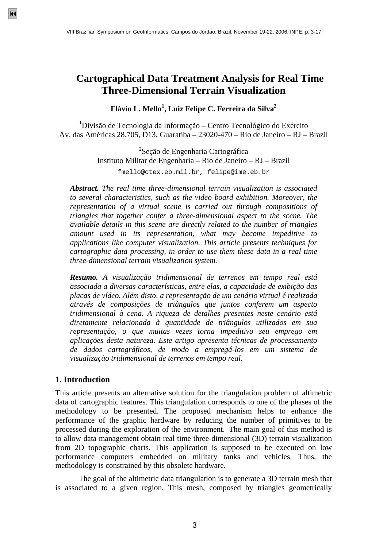$\overline{\mathbf{M}}$ 

# **Cartographical Data Treatment Analysis for Real Time Three-Dimensional Terrain Visualization**

**Flávio L. Mello1 , Luiz Felipe C. Ferreira da Silva2**

<sup>1</sup>Divisão de Tecnologia da Informação – Centro Tecnológico do Exército Av. das Américas 28.705, D13, Guaratiba – 23020-470 – Rio de Janeiro – RJ – Brazil

> <sup>2</sup>Seção de Engenharia Cartográfica Instituto Militar de Engenharia – Rio de Janeiro – RJ – Brazil fmello@ctex.eb.mil.br, felipe@ime.eb.br

*Abstract. The real time three-dimensional terrain visualization is associated to several characteristics, such as the video board exhibition. Moreover, the representation of a virtual scene is carried out through compositions of triangles that together confer a three-dimensional aspect to the scene. The available details in this scene are directly related to the number of triangles amount used in its representation, what may become impeditive to applications like computer visualization. This article presents techniques for cartographic data processing, in order to use them these data in a real time three-dimensional terrain visualization system.* 

*Resumo. A visualização tridimensional de terrenos em tempo real está associada a diversas características, entre elas, a capacidade de exibição das placas de vídeo. Além disto, a representação de um cenário virtual é realizada através de composições de triângulos que juntos conferem um aspecto tridimensional à cena. A riqueza de detalhes presentes neste cenário está diretamente relacionada à quantidade de triângulos utilizados em sua representação, o que muitas vezes torna impeditivo seu emprego em aplicações desta natureza. Este artigo apresenta técnicas de processamento de dados cartográficos, de modo a empregá-los em um sistema de visualização tridimensional de terrenos em tempo real.* 

## **1. Introduction**

This article presents an alternative solution for the triangulation problem of altimetric data of cartographic features. This triangulation corresponds to one of the phases of the methodology to be presented. The proposed mechanism helps to enhance the performance of the graphic hardware by reducing the number of primitives to be processed during the exploration of the environment. The main goal of this method is to allow data management obtain real time three-dimensional (3D) terrain visualization from 2D topographic charts. This application is supposed to be executed on low performance computers embedded on military tanks and vehicles. Thus, the methodology is constrained by this obsolete hardware.

 The goal of the altimetric data triangulation is to generate a 3D terrain mesh that is associated to a given region. This mesh, composed by triangles geometrically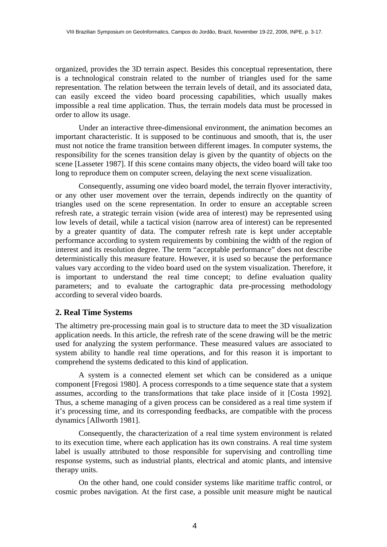organized, provides the 3D terrain aspect. Besides this conceptual representation, there is a technological constrain related to the number of triangles used for the same representation. The relation between the terrain levels of detail, and its associated data, can easily exceed the video board processing capabilities, which usually makes impossible a real time application. Thus, the terrain models data must be processed in order to allow its usage.

 Under an interactive three-dimensional environment, the animation becomes an important characteristic. It is supposed to be continuous and smooth, that is, the user must not notice the frame transition between different images. In computer systems, the responsibility for the scenes transition delay is given by the quantity of objects on the scene [Lasseter 1987]. If this scene contains many objects, the video board will take too long to reproduce them on computer screen, delaying the next scene visualization.

 Consequently, assuming one video board model, the terrain flyover interactivity, or any other user movement over the terrain, depends indirectly on the quantity of triangles used on the scene representation. In order to ensure an acceptable screen refresh rate, a strategic terrain vision (wide area of interest) may be represented using low levels of detail, while a tactical vision (narrow area of interest) can be represented by a greater quantity of data. The computer refresh rate is kept under acceptable performance according to system requirements by combining the width of the region of interest and its resolution degree. The term "acceptable performance" does not describe deterministically this measure feature. However, it is used so because the performance values vary according to the video board used on the system visualization. Therefore, it is important to understand the real time concept; to define evaluation quality parameters; and to evaluate the cartographic data pre-processing methodology according to several video boards.

## **2. Real Time Systems**

The altimetry pre-processing main goal is to structure data to meet the 3D visualization application needs. In this article, the refresh rate of the scene drawing will be the metric used for analyzing the system performance. These measured values are associated to system ability to handle real time operations, and for this reason it is important to comprehend the systems dedicated to this kind of application.

 A system is a connected element set which can be considered as a unique component [Fregosi 1980]. A process corresponds to a time sequence state that a system assumes, according to the transformations that take place inside of it [Costa 1992]. Thus, a scheme managing of a given process can be considered as a real time system if it's processing time, and its corresponding feedbacks, are compatible with the process dynamics [Allworth 1981].

 Consequently, the characterization of a real time system environment is related to its execution time, where each application has its own constrains. A real time system label is usually attributed to those responsible for supervising and controlling time response systems, such as industrial plants, electrical and atomic plants, and intensive therapy units.

 On the other hand, one could consider systems like maritime traffic control, or cosmic probes navigation. At the first case, a possible unit measure might be nautical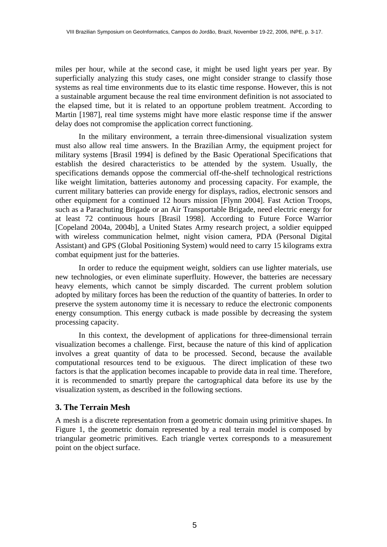miles per hour, while at the second case, it might be used light years per year. By superficially analyzing this study cases, one might consider strange to classify those systems as real time environments due to its elastic time response. However, this is not a sustainable argument because the real time environment definition is not associated to the elapsed time, but it is related to an opportune problem treatment. According to Martin [1987], real time systems might have more elastic response time if the answer delay does not compromise the application correct functioning.

 In the military environment, a terrain three-dimensional visualization system must also allow real time answers. In the Brazilian Army, the equipment project for military systems [Brasil 1994] is defined by the Basic Operational Specifications that establish the desired characteristics to be attended by the system. Usually, the specifications demands oppose the commercial off-the-shelf technological restrictions like weight limitation, batteries autonomy and processing capacity. For example, the current military batteries can provide energy for displays, radios, electronic sensors and other equipment for a continued 12 hours mission [Flynn 2004]. Fast Action Troops, such as a Parachuting Brigade or an Air Transportable Brigade, need electric energy for at least 72 continuous hours [Brasil 1998]. According to Future Force Warrior [Copeland 2004a, 2004b], a United States Army research project, a soldier equipped with wireless communication helmet, night vision camera, PDA (Personal Digital Assistant) and GPS (Global Positioning System) would need to carry 15 kilograms extra combat equipment just for the batteries.

 In order to reduce the equipment weight, soldiers can use lighter materials, use new technologies, or even eliminate superfluity. However, the batteries are necessary heavy elements, which cannot be simply discarded. The current problem solution adopted by military forces has been the reduction of the quantity of batteries. In order to preserve the system autonomy time it is necessary to reduce the electronic components energy consumption. This energy cutback is made possible by decreasing the system processing capacity.

 In this context, the development of applications for three-dimensional terrain visualization becomes a challenge. First, because the nature of this kind of application involves a great quantity of data to be processed. Second, because the available computational resources tend to be exiguous. The direct implication of these two factors is that the application becomes incapable to provide data in real time. Therefore, it is recommended to smartly prepare the cartographical data before its use by the visualization system, as described in the following sections.

## **3. The Terrain Mesh**

A mesh is a discrete representation from a geometric domain using primitive shapes. In Figure 1, the geometric domain represented by a real terrain model is composed by triangular geometric primitives. Each triangle vertex corresponds to a measurement point on the object surface.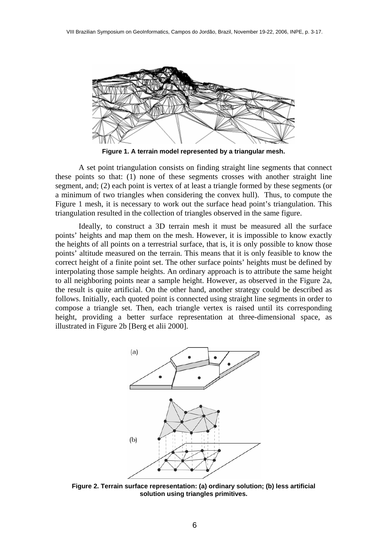

**Figure 1. A terrain model represented by a triangular mesh.** 

 A set point triangulation consists on finding straight line segments that connect these points so that: (1) none of these segments crosses with another straight line segment, and; (2) each point is vertex of at least a triangle formed by these segments (or a minimum of two triangles when considering the convex hull). Thus, to compute the Figure 1 mesh, it is necessary to work out the surface head point's triangulation. This triangulation resulted in the collection of triangles observed in the same figure.

 Ideally, to construct a 3D terrain mesh it must be measured all the surface points' heights and map them on the mesh. However, it is impossible to know exactly the heights of all points on a terrestrial surface, that is, it is only possible to know those points' altitude measured on the terrain. This means that it is only feasible to know the correct height of a finite point set. The other surface points' heights must be defined by interpolating those sample heights. An ordinary approach is to attribute the same height to all neighboring points near a sample height. However, as observed in the Figure 2a, the result is quite artificial. On the other hand, another strategy could be described as follows. Initially, each quoted point is connected using straight line segments in order to compose a triangle set. Then, each triangle vertex is raised until its corresponding height, providing a better surface representation at three-dimensional space, as illustrated in Figure 2b [Berg et alii 2000].



**Figure 2. Terrain surface representation: (a) ordinary solution; (b) less artificial solution using triangles primitives.**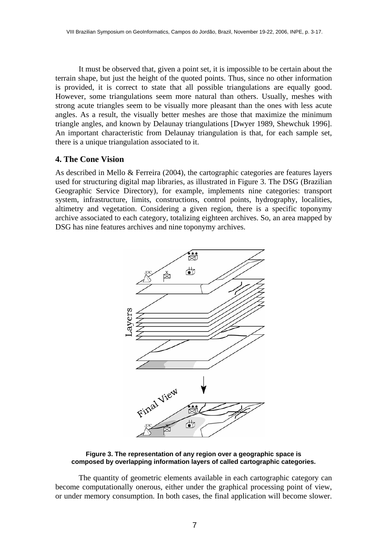It must be observed that, given a point set, it is impossible to be certain about the terrain shape, but just the height of the quoted points. Thus, since no other information is provided, it is correct to state that all possible triangulations are equally good. However, some triangulations seem more natural than others. Usually, meshes with strong acute triangles seem to be visually more pleasant than the ones with less acute angles. As a result, the visually better meshes are those that maximize the minimum triangle angles, and known by Delaunay triangulations [Dwyer 1989, Shewchuk 1996]. An important characteristic from Delaunay triangulation is that, for each sample set, there is a unique triangulation associated to it.

## **4. The Cone Vision**

As described in Mello & Ferreira (2004), the cartographic categories are features layers used for structuring digital map libraries, as illustrated in Figure 3. The DSG (Brazilian Geographic Service Directory), for example, implements nine categories: transport system, infrastructure, limits, constructions, control points, hydrography, localities, altimetry and vegetation. Considering a given region, there is a specific toponymy archive associated to each category, totalizing eighteen archives. So, an area mapped by DSG has nine features archives and nine toponymy archives.



**Figure 3. The representation of any region over a geographic space is composed by overlapping information layers of called cartographic categories.** 

 The quantity of geometric elements available in each cartographic category can become computationally onerous, either under the graphical processing point of view, or under memory consumption. In both cases, the final application will become slower.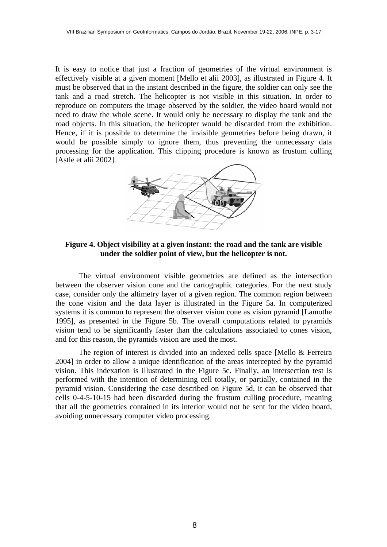It is easy to notice that just a fraction of geometries of the virtual environment is effectively visible at a given moment [Mello et alii 2003], as illustrated in Figure 4. It must be observed that in the instant described in the figure, the soldier can only see the tank and a road stretch. The helicopter is not visible in this situation. In order to reproduce on computers the image observed by the soldier, the video board would not need to draw the whole scene. It would only be necessary to display the tank and the road objects. In this situation, the helicopter would be discarded from the exhibition. Hence, if it is possible to determine the invisible geometries before being drawn, it would be possible simply to ignore them, thus preventing the unnecessary data processing for the application. This clipping procedure is known as frustum culling [Astle et alii 2002].



**Figure 4. Object visibility at a given instant: the road and the tank are visible under the soldier point of view, but the helicopter is not.** 

 The virtual environment visible geometries are defined as the intersection between the observer vision cone and the cartographic categories. For the next study case, consider only the altimetry layer of a given region. The common region between the cone vision and the data layer is illustrated in the Figure 5a. In computerized systems it is common to represent the observer vision cone as vision pyramid [Lamothe 1995], as presented in the Figure 5b. The overall computations related to pyramids vision tend to be significantly faster than the calculations associated to cones vision, and for this reason, the pyramids vision are used the most.

 The region of interest is divided into an indexed cells space [Mello & Ferreira 2004] in order to allow a unique identification of the areas intercepted by the pyramid vision. This indexation is illustrated in the Figure 5c. Finally, an intersection test is performed with the intention of determining cell totally, or partially, contained in the pyramid vision. Considering the case described on Figure 5d, it can be observed that cells 0-4-5-10-15 had been discarded during the frustum culling procedure, meaning that all the geometries contained in its interior would not be sent for the video board, avoiding unnecessary computer video processing.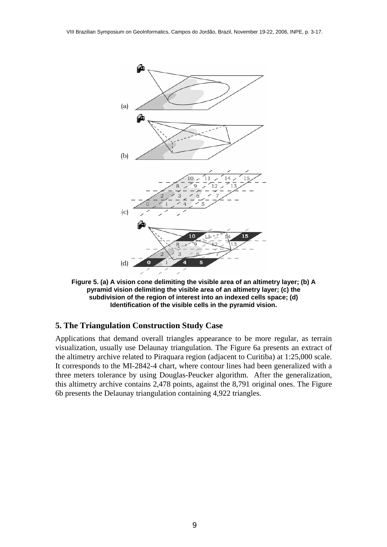



## **5. The Triangulation Construction Study Case**

Applications that demand overall triangles appearance to be more regular, as terrain visualization, usually use Delaunay triangulation. The Figure 6a presents an extract of the altimetry archive related to Piraquara region (adjacent to Curitiba) at 1:25,000 scale. It corresponds to the MI-2842-4 chart, where contour lines had been generalized with a three meters tolerance by using Douglas-Peucker algorithm. After the generalization, this altimetry archive contains 2,478 points, against the 8,791 original ones. The Figure 6b presents the Delaunay triangulation containing 4,922 triangles.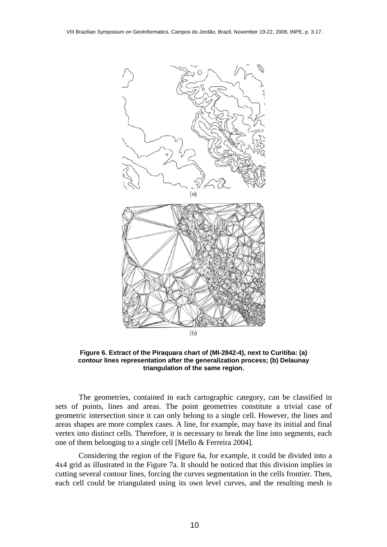

**Figure 6. Extract of the Piraquara chart of (MI-2842-4), next to Curitiba: (a) contour lines representation after the generalization process; (b) Delaunay triangulation of the same region.** 

 The geometries, contained in each cartographic category, can be classified in sets of points, lines and areas. The point geometries constitute a trivial case of geometric intersection since it can only belong to a single cell. However, the lines and areas shapes are more complex cases. A line, for example, may have its initial and final vertex into distinct cells. Therefore, it is necessary to break the line into segments, each one of them belonging to a single cell [Mello & Ferreira 2004].

 Considering the region of the Figure 6a, for example, it could be divided into a 4x4 grid as illustrated in the Figure 7a. It should be noticed that this division implies in cutting several contour lines, forcing the curves segmentation in the cells frontier. Then, each cell could be triangulated using its own level curves, and the resulting mesh is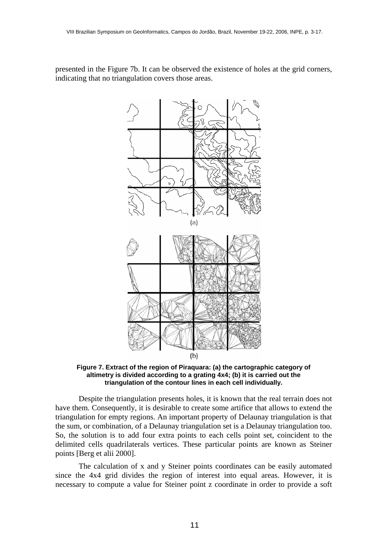presented in the Figure 7b. It can be observed the existence of holes at the grid corners, indicating that no triangulation covers those areas.



**Figure 7. Extract of the region of Piraquara: (a) the cartographic category of altimetry is divided according to a grating 4x4; (b) it is carried out the triangulation of the contour lines in each cell individually.** 

 Despite the triangulation presents holes, it is known that the real terrain does not have them. Consequently, it is desirable to create some artifice that allows to extend the triangulation for empty regions. An important property of Delaunay triangulation is that the sum, or combination, of a Delaunay triangulation set is a Delaunay triangulation too. So, the solution is to add four extra points to each cells point set, coincident to the delimited cells quadrilaterals vertices. These particular points are known as Steiner points [Berg et alii 2000].

 The calculation of x and y Steiner points coordinates can be easily automated since the 4x4 grid divides the region of interest into equal areas. However, it is necessary to compute a value for Steiner point z coordinate in order to provide a soft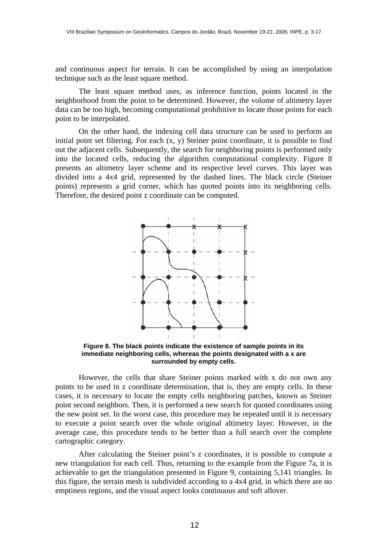and continuous aspect for terrain. It can be accomplished by using an interpolation technique such as the least square method.

 The least square method uses, as inference function, points located in the neighborhood from the point to be determined. However, the volume of altimetry layer data can be too high, becoming computational prohibitive to locate those points for each point to be interpolated.

 On the other hand, the indexing cell data structure can be used to perform an initial point set filtering. For each (x, y) Steiner point coordinate, it is possible to find out the adjacent cells. Subsequently, the search for neighboring points is performed only into the located cells, reducing the algorithm computational complexity. Figure 8 presents an altimetry layer scheme and its respective level curves. This layer was divided into a 4x4 grid, represented by the dashed lines. The black circle (Steiner points) represents a grid corner, which has quoted points into its neighboring cells. Therefore, the desired point z coordinate can be computed.



**Figure 8. The black points indicate the existence of sample points in its immediate neighboring cells, whereas the points designated with a x are surrounded by empty cells.** 

 However, the cells that share Steiner points marked with x do not own any points to be used in z coordinate determination, that is, they are empty cells. In these cases, it is necessary to locate the empty cells neighboring patches, known as Steiner point second neighbors. Then, it is performed a new search for quoted coordinates using the new point set. In the worst case, this procedure may be repeated until it is necessary to execute a point search over the whole original altimetry layer. However, in the average case, this procedure tends to be better than a full search over the complete cartographic category.

 After calculating the Steiner point's z coordinates, it is possible to compute a new triangulation for each cell. Thus, returning to the example from the Figure 7a, it is achievable to get the triangulation presented in Figure 9, containing 5,141 triangles. In this figure, the terrain mesh is subdivided according to a 4x4 grid, in which there are no emptiness regions, and the visual aspect looks continuous and soft allover.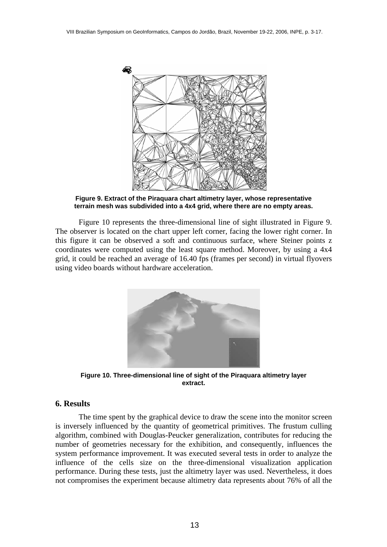

**Figure 9. Extract of the Piraquara chart altimetry layer, whose representative terrain mesh was subdivided into a 4x4 grid, where there are no empty areas.** 

 Figure 10 represents the three-dimensional line of sight illustrated in Figure 9. The observer is located on the chart upper left corner, facing the lower right corner. In this figure it can be observed a soft and continuous surface, where Steiner points z coordinates were computed using the least square method. Moreover, by using a 4x4 grid, it could be reached an average of 16.40 fps (frames per second) in virtual flyovers using video boards without hardware acceleration.



**Figure 10. Three-dimensional line of sight of the Piraquara altimetry layer extract.** 

## **6. Results**

 The time spent by the graphical device to draw the scene into the monitor screen is inversely influenced by the quantity of geometrical primitives. The frustum culling algorithm, combined with Douglas-Peucker generalization, contributes for reducing the number of geometries necessary for the exhibition, and consequently, influences the system performance improvement. It was executed several tests in order to analyze the influence of the cells size on the three-dimensional visualization application performance. During these tests, just the altimetry layer was used. Nevertheless, it does not compromises the experiment because altimetry data represents about 76% of all the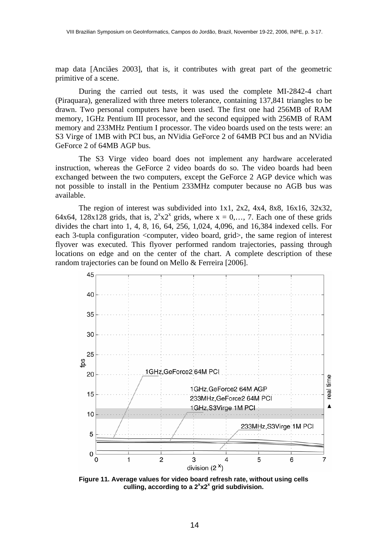map data [Anciães 2003], that is, it contributes with great part of the geometric primitive of a scene.

 During the carried out tests, it was used the complete MI-2842-4 chart (Piraquara), generalized with three meters tolerance, containing 137,841 triangles to be drawn. Two personal computers have been used. The first one had 256MB of RAM memory, 1GHz Pentium III processor, and the second equipped with 256MB of RAM memory and 233MHz Pentium I processor. The video boards used on the tests were: an S3 Virge of 1MB with PCI bus, an NVidia GeForce 2 of 64MB PCI bus and an NVidia GeForce 2 of 64MB AGP bus.

 The S3 Virge video board does not implement any hardware accelerated instruction, whereas the GeForce 2 video boards do so. The video boards had been exchanged between the two computers, except the GeForce 2 AGP device which was not possible to install in the Pentium 233MHz computer because no AGB bus was available.

The region of interest was subdivided into  $1x1$ ,  $2x2$ ,  $4x4$ ,  $8x8$ ,  $16x16$ ,  $32x32$ , 64x64, 128x128 grids, that is,  $2^{x}x2^{x}$  grids, where  $x = 0,..., 7$ . Each one of these grids divides the chart into 1, 4, 8, 16, 64, 256, 1,024, 4,096, and 16,384 indexed cells. For each 3-tupla configuration <computer, video board, grid>, the same region of interest flyover was executed. This flyover performed random trajectories, passing through locations on edge and on the center of the chart. A complete description of these random trajectories can be found on Mello & Ferreira [2006].



**Figure 11. Average values for video board refresh rate, without using cells culling, according to a 2<sup>x</sup> x2<sup>x</sup> grid subdivision.**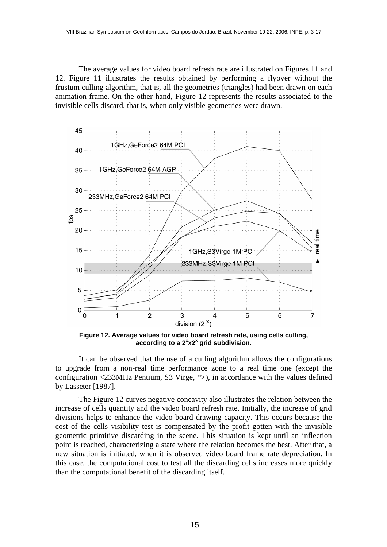The average values for video board refresh rate are illustrated on Figures 11 and 12. Figure 11 illustrates the results obtained by performing a flyover without the frustum culling algorithm, that is, all the geometries (triangles) had been drawn on each animation frame. On the other hand, Figure 12 represents the results associated to the invisible cells discard, that is, when only visible geometries were drawn.



**Figure 12. Average values for video board refresh rate, using cells culling, according to a 2<sup>x</sup> x2<sup>x</sup> grid subdivision.** 

 It can be observed that the use of a culling algorithm allows the configurations to upgrade from a non-real time performance zone to a real time one (except the configuration <233MHz Pentium, S3 Virge, \*>), in accordance with the values defined by Lasseter [1987].

 The Figure 12 curves negative concavity also illustrates the relation between the increase of cells quantity and the video board refresh rate. Initially, the increase of grid divisions helps to enhance the video board drawing capacity. This occurs because the cost of the cells visibility test is compensated by the profit gotten with the invisible geometric primitive discarding in the scene. This situation is kept until an inflection point is reached, characterizing a state where the relation becomes the best. After that, a new situation is initiated, when it is observed video board frame rate depreciation. In this case, the computational cost to test all the discarding cells increases more quickly than the computational benefit of the discarding itself.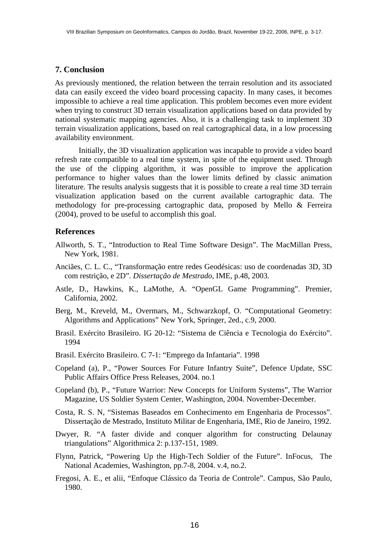## **7. Conclusion**

As previously mentioned, the relation between the terrain resolution and its associated data can easily exceed the video board processing capacity. In many cases, it becomes impossible to achieve a real time application. This problem becomes even more evident when trying to construct 3D terrain visualization applications based on data provided by national systematic mapping agencies. Also, it is a challenging task to implement 3D terrain visualization applications, based on real cartographical data, in a low processing availability environment.

 Initially, the 3D visualization application was incapable to provide a video board refresh rate compatible to a real time system, in spite of the equipment used. Through the use of the clipping algorithm, it was possible to improve the application performance to higher values than the lower limits defined by classic animation literature. The results analysis suggests that it is possible to create a real time 3D terrain visualization application based on the current available cartographic data. The methodology for pre-processing cartographic data, proposed by Mello & Ferreira (2004), proved to be useful to accomplish this goal.

#### **References**

- Allworth, S. T., "Introduction to Real Time Software Design". The MacMillan Press, New York, 1981.
- Anciães, C. L. C., "Transformação entre redes Geodésicas: uso de coordenadas 3D, 3D com restrição, e 2D". *Dissertação de Mestrado*, IME, p.48, 2003.
- Astle, D., Hawkins, K., LaMothe, A. "OpenGL Game Programming". Premier, California, 2002.
- Berg, M., Kreveld, M., Overmars, M., Schwarzkopf, O. "Computational Geometry: Algorithms and Applications" New York, Springer, 2ed., c.9, 2000.
- Brasil. Exército Brasileiro. IG 20-12: "Sistema de Ciência e Tecnologia do Exército". 1994
- Brasil. Exército Brasileiro. C 7-1: "Emprego da Infantaria". 1998
- Copeland (a), P., "Power Sources For Future Infantry Suite", Defence Update, SSC Public Affairs Office Press Releases, 2004. no.1
- Copeland (b), P., "Future Warrior: New Concepts for Uniform Systems", The Warrior Magazine, US Soldier System Center, Washington, 2004. November-December.
- Costa, R. S. N, "Sistemas Baseados em Conhecimento em Engenharia de Processos". Dissertação de Mestrado, Instituto Militar de Engenharia, IME, Rio de Janeiro, 1992.
- Dwyer, R. "A faster divide and conquer algorithm for constructing Delaunay triangulations" Algorithmica 2: p.137-151, 1989.
- Flynn, Patrick, "Powering Up the High-Tech Soldier of the Future". InFocus, The National Academies, Washington, pp.7-8, 2004. v.4, no.2.
- Fregosi, A. E., et alii, "Enfoque Clássico da Teoria de Controle". Campus, São Paulo, 1980.